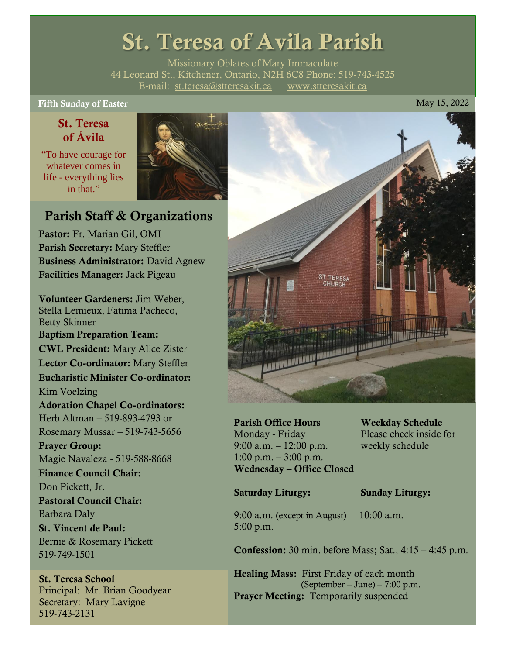# St. Teresa of Avila Parish

Missionary Oblates of Mary Immaculate 44 Leonard St., Kitchener, Ontario, N2H 6C8 Phone: 519-743-4525 E-mail: [st.teresa@stteresakit.ca](mailto:st.teresa@stteresakit.ca) [www.stteresakit.ca](http://www.stteresakit.ca/)

Fifth Sunday of Easter May 15, 2022

### St. Teresa of Ávila

"To have courage for whatever comes in life - everything lies in that"



## Parish Staff & Organizations

Pastor: Fr. Marian Gil, OMI Parish Secretary: Mary Steffler Business Administrator: David Agnew Facilities Manager: Jack Pigeau

Volunteer Gardeners: Jim Weber, Stella Lemieux, Fatima Pacheco, Betty Skinner Baptism Preparation Team: CWL President: Mary Alice Zister Lector Co-ordinator: Mary Steffler Eucharistic Minister Co-ordinator: Kim Voelzing Adoration Chapel Co-ordinators: Herb Altman – 519-893-4793 or Rosemary Mussar – 519-743-5656 Prayer Group: Magie Navaleza - 519-588-8668 Finance Council Chair: Don Pickett, Jr. Pastoral Council Chair: Barbara Daly St. Vincent de Paul: Bernie & Rosemary Pickett 519-749-1501

## St. Teresa School Secretary: Mary Lavigne





Parish Office Hours Weekday Schedule Monday - Friday Please check inside for 9:00 a.m. – 12:00 p.m. weekly schedule  $1:00 \text{ p.m.} - 3:00 \text{ p.m.}$ Wednesday – Office Closed

#### Saturday Liturgy: Sunday Liturgy:

9:00 a.m. (except in August) 10:00 a.m. 5:00 p.m.

Confession: 30 min. before Mass; Sat., 4:15 – 4:45 p.m.

Healing Mass: First Friday of each month (September – June) – 7:00 p.m. Prayer Meeting: Temporarily suspended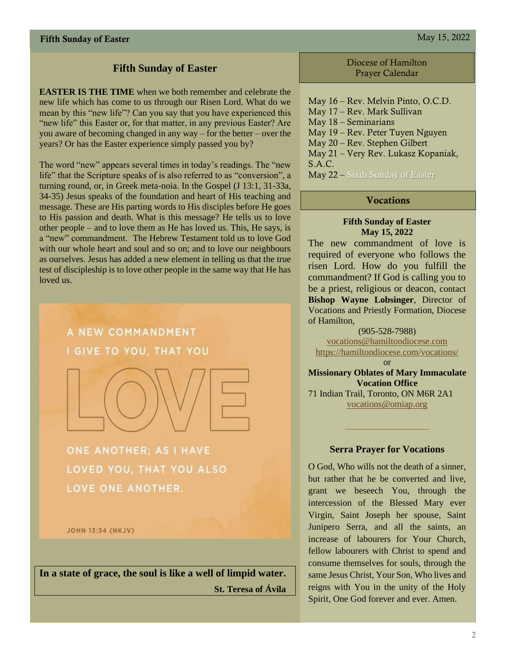#### **Fifth Sunday of Easter**

**EASTER IS THE TIME** when we both remember and celebrate the new life which has come to us through our Risen Lord. What do we mean by this "new life"? Can you say that you have experienced this "new life" this Easter or, for that matter, in any previous Easter? Are you aware of becoming changed in any way – for the better – over the years? Or has the Easter experience simply passed you by?

The word "new" appears several times in today's readings. The "new life" that the Scripture speaks of is also referred to as "conversion", a turning round, or, in Greek meta-noia. In the Gospel (J 13:1, 31-33a, 34-35) Jesus speaks of the foundation and heart of His teaching and message. These are His parting words to His disciples before He goes to His passion and death. What is this message? He tells us to love other people – and to love them as He has loved us. This, He says, is a "new" commandment. The Hebrew Testament told us to love God with our whole heart and soul and so on; and to love our neighbours as ourselves. Jesus has added a new element in telling us that the true test of discipleship is to love other people in the same way that He has loved us.



ONE ANOTHER: AS I HAVE LOVED YOU, THAT YOU ALSO LOVE ONE ANOTHER.

**JOHN 13:34 (NKJV)** 

**In a state of grace, the soul is like a well of limpid water. St. Teresa of Ávila**

Diocese of Hamilton Prayer Calendar

May 16 – Rev. Melvin Pinto, O.C.D. May 17 – Rev. Mark Sullivan May 18 – Seminarians May 19 – Rev. Peter Tuyen Nguyen May 20 – Rev. Stephen Gilbert May 21 – Very Rev. Lukasz Kopaniak, S.A.C. May 22 – Sixth Sunday of Easter

#### **Vocations**

#### **Fifth Sunday of Easter May 15, 2022**

The new commandment of love is required of everyone who follows the risen Lord. How do you fulfill the commandment? If God is calling you to be a priest, religious or deacon, contact **Bishop Wayne Lobsinger**, Director of Vocations and Priestly Formation, Diocese of Hamilton,

(905-528-7988) [vocations@hamiltondiocese.com](mailto:vocations@hamiltondiocese.com)  <https://hamiltondiocese.com/vocations/>

or **Missionary Oblates of Mary Immaculate Vocation Office** 71 Indian Trail, Toronto, ON M6R 2A1 [vocations@omiap.org](mailto:vocations@omiap.org)

#### **Serra Prayer for Vocations**

O God, Who wills not the death of a sinner, but rather that he be converted and live, grant we beseech You, through the intercession of the Blessed Mary ever Virgin, Saint Joseph her spouse, Saint Junipero Serra, and all the saints, an increase of labourers for Your Church, fellow labourers with Christ to spend and consume themselves for souls, through the same Jesus Christ, Your Son, Who lives and reigns with You in the unity of the Holy Spirit, One God forever and ever. Amen.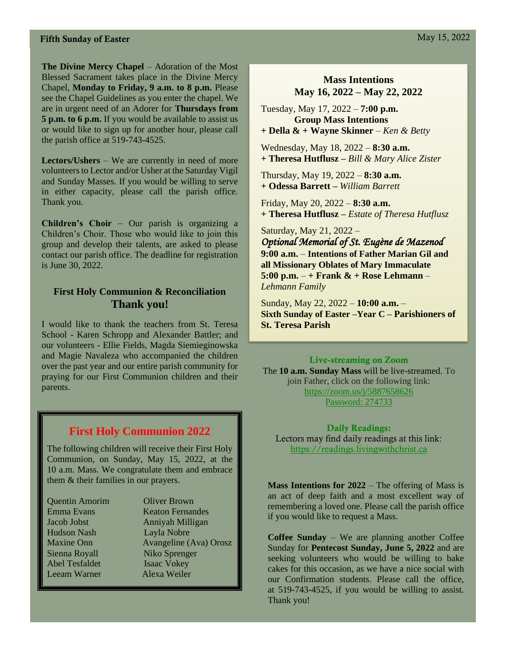#### **Fifth Sunday of Easter** May 15, 2022

**The Divine Mercy Chapel** – Adoration of the Most Blessed Sacrament takes place in the Divine Mercy Chapel, **Monday to Friday, 9 a.m. to 8 p.m.** Please see the Chapel Guidelines as you enter the chapel. We are in urgent need of an Adorer for **Thursdays from 5 p.m. to 6 p.m.** If you would be available to assist us or would like to sign up for another hour, please call the parish office at 519-743-4525.

**Lectors/Ushers** – We are currently in need of more volunteers to Lector and/or Usher at the Saturday Vigil and Sunday Masses. If you would be willing to serve in either capacity, please call the parish office. Thank you.

**Children's Choir** – Our parish is organizing a Children's Choir. Those who would like to join this group and develop their talents, are asked to please contact our parish office. The deadline for registration is June 30, 2022.

#### **First Holy Communion & Reconciliation Thank you!**

I would like to thank the teachers from St. Teresa School - Karen Schropp and Alexander Battler; and our volunteers - Ellie Fields, Magda Siemieginowska and Magie Navaleza who accompanied the children over the past year and our entire parish community for praying for our First Communion children and their parents.

#### **First Holy Communion 2022**

The following children will receive their First Holy Communion, on Sunday, May 15, 2022, at the 10 a.m. Mass. We congratulate them and embrace them & their families in our prayers.

| <b>Quentin Amorim</b> | <b>Oliver Brown</b>           |
|-----------------------|-------------------------------|
| Emma Evans            | <b>Keaton Fernandes</b>       |
| Jacob Jobst           | Anniyah Milligan              |
| <b>Hudson Nash</b>    | Layla Nobre                   |
| <b>Maxine Onn</b>     | <b>Avangeline</b> (Ava) Orosz |
| Sienna Royall         | Niko Sprenger                 |
| <b>Abel Tesfaldet</b> | <b>Isaac Vokey</b>            |
| Leeam Warner          | Alexa Weiler                  |
|                       |                               |

#### **Mass Intentions May 16, 2022 – May 22, 2022**

Tuesday, May 17, 2022 – **7:00 p.m. Group Mass Intentions + Della & + Wayne Skinner** *– Ken & Betty* 

Wednesday, May 18, 2022 – **8:30 a.m. + Theresa Hutflusz –** *Bill & Mary Alice Zister*

Thursday, May 19, 2022 – **8:30 a.m. + Odessa Barrett –** *William Barrett*

Friday, May 20, 2022 – **8:30 a.m.** **+ Theresa Hutflusz –** *Estate of Theresa Hutflusz*

Saturday, May 21, 2022 – *Optional Memorial of St. Eugène de Mazenod*  **9:00 a.m.** – **Intentions of Father Marian Gil and all Missionary Oblates of Mary Immaculate 5:00 p.m.** – **+ Frank & + Rose Lehmann** – *Lehmann Family*

Sunday, May 22, 2022 – **10:00 a.m.** – **Sixth Sunday of Easter –Year C – Parishioners of St. Teresa Parish** 

#### Live-streaming on Zoom

The **10 a.m. Sunday Mass** will be live-streamed. To join Father, click on the following link: <https://zoom.us/j/5887658626> Password: 274733

Daily Readings: Lectors may find daily readings at this link: [https://readings.livingwithchrist.ca](https://readings.livingwithchrist.ca/)

**Mass Intentions for 2022** – The offering of Mass is an act of deep faith and a most excellent way of remembering a loved one. Please call the parish office if you would like to request a Mass.

**Coffee Sunday** – We are planning another Coffee Sunday for **Pentecost Sunday, June 5, 2022** and are seeking volunteers who would be willing to bake cakes for this occasion, as we have a nice social with our Confirmation students. Please call the office, at 519-743-4525, if you would be willing to assist. Thank you!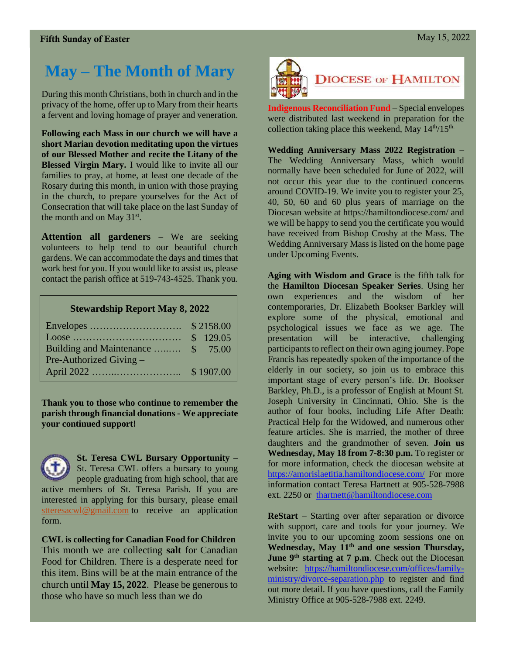## **May – The Month of Mary**

During this month Christians, both in church and in the privacy of the home, offer up to Mary from their hearts a fervent and loving homage of prayer and veneration.

**Following each Mass in our church we will have a short Marian devotion meditating upon the virtues of our Blessed Mother and recite the Litany of the Blessed Virgin Mary.** I would like to invite all our families to pray, at home, at least one decade of the Rosary during this month, in union with those praying in the church, to prepare yourselves for the Act of Consecration that will take place on the last Sunday of the month and on May  $31<sup>st</sup>$ .

**Attention all gardeners –** We are seeking volunteers to help tend to our beautiful church gardens. We can accommodate the days and times that work best for you. If you would like to assist us, please contact the parish office at 519-743-4525. Thank you.

#### **Stewardship Report May 8, 2022**

| Building and Maintenance  \$ 75.00 |  |
|------------------------------------|--|
| Pre-Authorized Giving $-$          |  |
|                                    |  |

**Thank you to those who continue to remember the parish through financial donations - We appreciate your continued support!** 



#### **St. Teresa CWL Bursary Opportunity –** St. Teresa CWL offers a bursary to young

people graduating from high school, that are active members of St. Teresa Parish. If you are interested in applying for this bursary, please email [stteresacwl@gmail.com](mailto:stteresacwl@gmail.com) to receive an application form.

**CWL is collecting for Canadian Food for Children** This month we are collecting **salt** for Canadian Food for Children. There is a desperate need for this item. Bins will be at the main entrance of the church until **May 15, 2022**. Please be generous to those who have so much less than we do



**Indigenous Reconciliation Fund** – Special envelopes were distributed last weekend in preparation for the collection taking place this weekend, May  $14<sup>th</sup>/15<sup>th</sup>$ .

**Wedding Anniversary Mass 2022 Registration –** The Wedding Anniversary Mass, which would normally have been scheduled for June of 2022, will not occur this year due to the continued concerns around COVID-19. We invite you to register your 25, 40, 50, 60 and 60 plus years of marriage on the Diocesan website at https://hamiltondiocese.com/ and we will be happy to send you the certificate you would have received from Bishop Crosby at the Mass. The Wedding Anniversary Mass is listed on the home page under Upcoming Events.

**Aging with Wisdom and Grace** is the fifth talk for the **Hamilton Diocesan Speaker Series**. Using her own experiences and the wisdom of her contemporaries, Dr. Elizabeth Bookser Barkley will explore some of the physical, emotional and psychological issues we face as we age. The presentation will be interactive, challenging participants to reflect on their own aging journey. Pope Francis has repeatedly spoken of the importance of the elderly in our society, so join us to embrace this important stage of every person's life. Dr. Bookser Barkley, Ph.D., is a professor of English at Mount St. Joseph University in Cincinnati, Ohio. She is the author of four books, including Life After Death: Practical Help for the Widowed, and numerous other feature articles. She is married, the mother of three daughters and the grandmother of seven. **Join us Wednesday, May 18 from 7-8:30 p.m.** To register or for more information, check the diocesan website at <https://amorislaetitia.hamiltondiocese.com/> For more information contact Teresa Hartnett at 905-528-7988 ext. 2250 or [thartnett@hamiltondiocese.com](mailto:thartnett@hamiltondiocese.com)

**ReStart** – Starting over after separation or divorce with support, care and tools for your journey. We invite you to our upcoming zoom sessions one on **Wednesday, May 11th and one session Thursday, June 9<sup>th</sup> starting at 7 p.m.** Check out the Diocesan website: [https://hamiltondiocese.com/offices/family](https://hamiltondiocese.com/offices/family-ministry/divorce-separation.php)[ministry/divorce-separation.php](https://hamiltondiocese.com/offices/family-ministry/divorce-separation.php) to register and find out more detail. If you have questions, call the Family Ministry Office at 905-528-7988 ext. 2249.